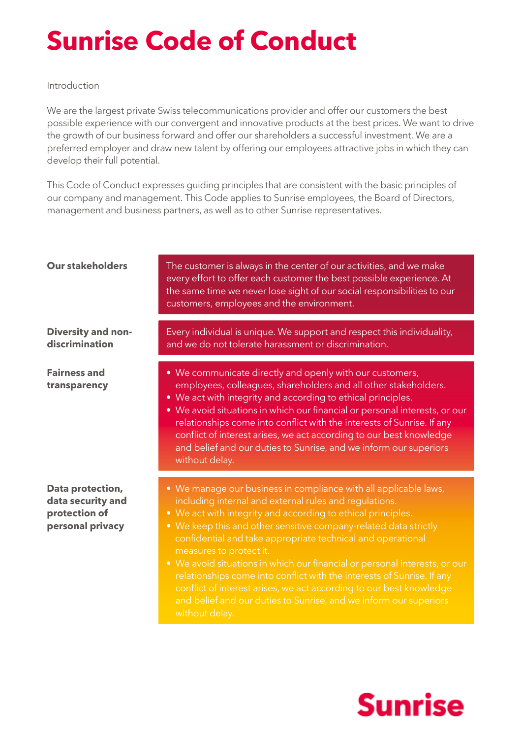## **Sunrise Code of Conduct**

## Introduction

We are the largest private Swiss telecommunications provider and offer our customers the best possible experience with our convergent and innovative products at the best prices. We want to drive the growth of our business forward and offer our shareholders a successful investment. We are a preferred employer and draw new talent by offering our employees attractive jobs in which they can develop their full potential.

This Code of Conduct expresses guiding principles that are consistent with the basic principles of our company and management. This Code applies to Sunrise employees, the Board of Directors, management and business partners, as well as to other Sunrise representatives.

| <b>Our stakeholders</b>                                                    | The customer is always in the center of our activities, and we make<br>every effort to offer each customer the best possible experience. At<br>the same time we never lose sight of our social responsibilities to our<br>customers, employees and the environment.                                                                                                                                                                                                                                                                                                                     |
|----------------------------------------------------------------------------|-----------------------------------------------------------------------------------------------------------------------------------------------------------------------------------------------------------------------------------------------------------------------------------------------------------------------------------------------------------------------------------------------------------------------------------------------------------------------------------------------------------------------------------------------------------------------------------------|
| <b>Diversity and non-</b><br>discrimination                                | Every individual is unique. We support and respect this individuality,<br>and we do not tolerate harassment or discrimination.                                                                                                                                                                                                                                                                                                                                                                                                                                                          |
| <b>Fairness and</b><br>transparency                                        | • We communicate directly and openly with our customers,<br>employees, colleagues, shareholders and all other stakeholders.<br>• We act with integrity and according to ethical principles.<br>• We avoid situations in which our financial or personal interests, or our<br>relationships come into conflict with the interests of Sunrise. If any<br>conflict of interest arises, we act according to our best knowledge<br>and belief and our duties to Sunrise, and we inform our superiors<br>without delay.                                                                       |
| Data protection,<br>data security and<br>protection of<br>personal privacy | • We manage our business in compliance with all applicable laws,<br>including internal and external rules and regulations.<br>• We act with integrity and according to ethical principles.<br>• We keep this and other sensitive company-related data strictly<br>confidential and take appropriate technical and operational<br>measures to protect it.<br>• We avoid situations in which our financial or personal interests, or our<br>relationships come into conflict with the interests of Sunrise. If any<br>conflict of interest arises, we act according to our best knowledge |

without delay.

and belief and our duties to Sunrise, and we inform our superiors

## **Sunrise**